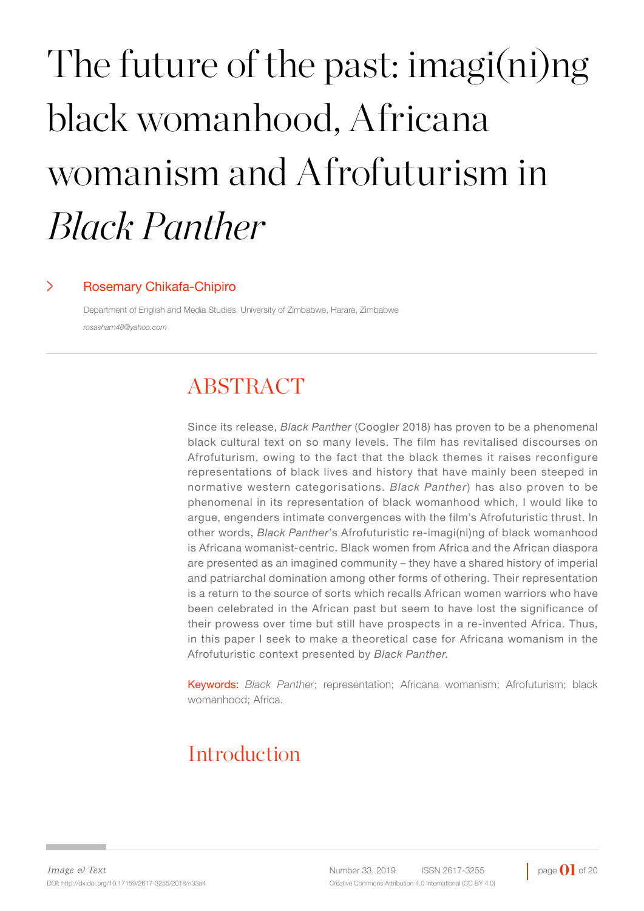# The future of the past: imagi(ni)ng black womanhood, Africana womanism and Afrofuturism in *Black Panther*

#### > Rosemary Chikafa-Chipiro

Department of English and Media Studies, University of Zimbabwe, Harare, Zimbabwe *rosasharn48@yahoo.com*

## ABSTRACT

Since its release, *Black Panther* (Coogler 2018) has proven to be a phenomenal black cultural text on so many levels. The film has revitalised discourses on Afrofuturism, owing to the fact that the black themes it raises reconfigure representations of black lives and history that have mainly been steeped in normative western categorisations. *Black Panther*) has also proven to be phenomenal in its representation of black womanhood which, I would like to argue, engenders intimate convergences with the film's Afrofuturistic thrust. In other words, *Black Panther*'s Afrofuturistic re-imagi(ni)ng of black womanhood is Africana womanist-centric. Black women from Africa and the African diaspora are presented as an imagined community – they have a shared history of imperial and patriarchal domination among other forms of othering. Their representation is a return to the source of sorts which recalls African women warriors who have been celebrated in the African past but seem to have lost the significance of their prowess over time but still have prospects in a re-invented Africa. Thus, in this paper I seek to make a theoretical case for Africana womanism in the Afrofuturistic context presented by *Black Panther*.

Keywords: *Black Panther*; representation; Africana womanism; Afrofuturism; black womanhood; Africa.

## Introduction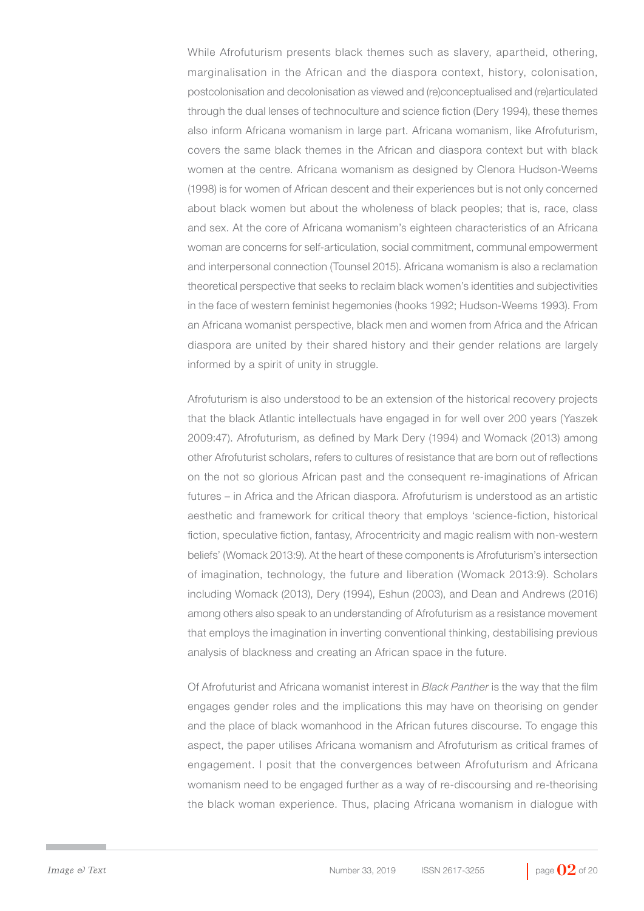While Afrofuturism presents black themes such as slavery, apartheid, othering, marginalisation in the African and the diaspora context, history, colonisation, postcolonisation and decolonisation as viewed and (re)conceptualised and (re)articulated through the dual lenses of technoculture and science fiction (Dery 1994), these themes also inform Africana womanism in large part. Africana womanism, like Afrofuturism, covers the same black themes in the African and diaspora context but with black women at the centre. Africana womanism as designed by Clenora Hudson-Weems (1998) is for women of African descent and their experiences but is not only concerned about black women but about the wholeness of black peoples; that is, race, class and sex. At the core of Africana womanism's eighteen characteristics of an Africana woman are concerns for self-articulation, social commitment, communal empowerment and interpersonal connection (Tounsel 2015). Africana womanism is also a reclamation theoretical perspective that seeks to reclaim black women's identities and subjectivities in the face of western feminist hegemonies (hooks 1992; Hudson-Weems 1993). From an Africana womanist perspective, black men and women from Africa and the African diaspora are united by their shared history and their gender relations are largely informed by a spirit of unity in struggle.

Afrofuturism is also understood to be an extension of the historical recovery projects that the black Atlantic intellectuals have engaged in for well over 200 years (Yaszek 2009:47). Afrofuturism, as defined by Mark Dery (1994) and Womack (2013) among other Afrofuturist scholars, refers to cultures of resistance that are born out of reflections on the not so glorious African past and the consequent re-imaginations of African futures – in Africa and the African diaspora. Afrofuturism is understood as an artistic aesthetic and framework for critical theory that employs 'science-fiction, historical fiction, speculative fiction, fantasy, Afrocentricity and magic realism with non-western beliefs' (Womack 2013:9). At the heart of these components is Afrofuturism's intersection of imagination, technology, the future and liberation (Womack 2013:9). Scholars including Womack (2013), Dery (1994), Eshun (2003), and Dean and Andrews (2016) among others also speak to an understanding of Afrofuturism as a resistance movement that employs the imagination in inverting conventional thinking, destabilising previous analysis of blackness and creating an African space in the future.

Of Afrofuturist and Africana womanist interest in *Black Panther* is the way that the film engages gender roles and the implications this may have on theorising on gender and the place of black womanhood in the African futures discourse. To engage this aspect, the paper utilises Africana womanism and Afrofuturism as critical frames of engagement. I posit that the convergences between Afrofuturism and Africana womanism need to be engaged further as a way of re-discoursing and re-theorising the black woman experience. Thus, placing Africana womanism in dialogue with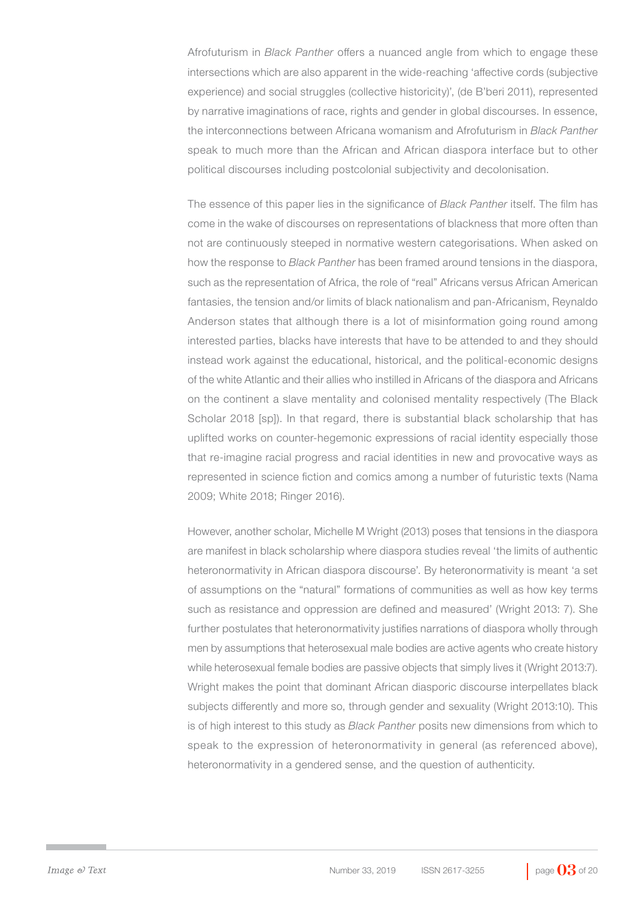Afrofuturism in *Black Panther* offers a nuanced angle from which to engage these intersections which are also apparent in the wide-reaching 'affective cords (subjective experience) and social struggles (collective historicity)', (de B'beri 2011), represented by narrative imaginations of race, rights and gender in global discourses. In essence, the interconnections between Africana womanism and Afrofuturism in *Black Panther* speak to much more than the African and African diaspora interface but to other political discourses including postcolonial subjectivity and decolonisation.

The essence of this paper lies in the significance of *Black Panther* itself. The film has come in the wake of discourses on representations of blackness that more often than not are continuously steeped in normative western categorisations. When asked on how the response to *Black Panther* has been framed around tensions in the diaspora, such as the representation of Africa, the role of "real" Africans versus African American fantasies, the tension and/or limits of black nationalism and pan-Africanism, Reynaldo Anderson states that although there is a lot of misinformation going round among interested parties, blacks have interests that have to be attended to and they should instead work against the educational, historical, and the political-economic designs of the white Atlantic and their allies who instilled in Africans of the diaspora and Africans on the continent a slave mentality and colonised mentality respectively (The Black Scholar 2018 [sp]). In that regard, there is substantial black scholarship that has uplifted works on counter-hegemonic expressions of racial identity especially those that re-imagine racial progress and racial identities in new and provocative ways as represented in science fiction and comics among a number of futuristic texts (Nama 2009; White 2018; Ringer 2016).

However, another scholar, Michelle M Wright (2013) poses that tensions in the diaspora are manifest in black scholarship where diaspora studies reveal 'the limits of authentic heteronormativity in African diaspora discourse'. By heteronormativity is meant 'a set of assumptions on the "natural" formations of communities as well as how key terms such as resistance and oppression are defined and measured' (Wright 2013: 7). She further postulates that heteronormativity justifies narrations of diaspora wholly through men by assumptions that heterosexual male bodies are active agents who create history while heterosexual female bodies are passive objects that simply lives it (Wright 2013:7). Wright makes the point that dominant African diasporic discourse interpellates black subjects differently and more so, through gender and sexuality (Wright 2013:10). This is of high interest to this study as *Black Panther* posits new dimensions from which to speak to the expression of heteronormativity in general (as referenced above), heteronormativity in a gendered sense, and the question of authenticity.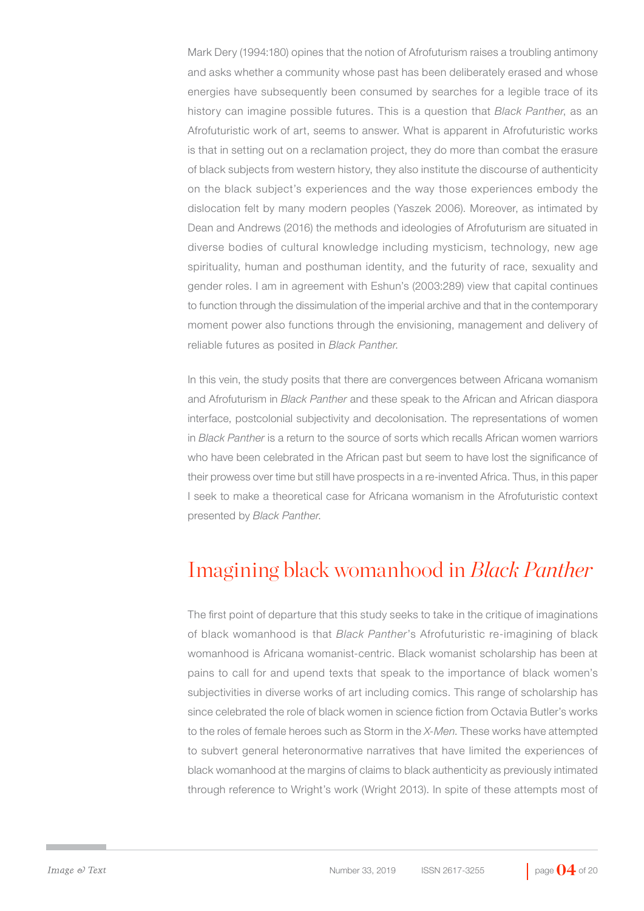Mark Dery (1994:180) opines that the notion of Afrofuturism raises a troubling antimony and asks whether a community whose past has been deliberately erased and whose energies have subsequently been consumed by searches for a legible trace of its history can imagine possible futures. This is a question that *Black Panther*, as an Afrofuturistic work of art, seems to answer. What is apparent in Afrofuturistic works is that in setting out on a reclamation project, they do more than combat the erasure of black subjects from western history, they also institute the discourse of authenticity on the black subject's experiences and the way those experiences embody the dislocation felt by many modern peoples (Yaszek 2006). Moreover, as intimated by Dean and Andrews (2016) the methods and ideologies of Afrofuturism are situated in diverse bodies of cultural knowledge including mysticism, technology, new age spirituality, human and posthuman identity, and the futurity of race, sexuality and gender roles. I am in agreement with Eshun's (2003:289) view that capital continues to function through the dissimulation of the imperial archive and that in the contemporary moment power also functions through the envisioning, management and delivery of reliable futures as posited in *Black Panther*.

In this vein, the study posits that there are convergences between Africana womanism and Afrofuturism in *Black Panther* and these speak to the African and African diaspora interface, postcolonial subjectivity and decolonisation. The representations of women in *Black Panther* is a return to the source of sorts which recalls African women warriors who have been celebrated in the African past but seem to have lost the significance of their prowess over time but still have prospects in a re-invented Africa. Thus, in this paper I seek to make a theoretical case for Africana womanism in the Afrofuturistic context presented by *Black Panther*.

## Imagining black womanhood in *Black Panther*

The first point of departure that this study seeks to take in the critique of imaginations of black womanhood is that *Black Panther*'s Afrofuturistic re-imagining of black womanhood is Africana womanist-centric. Black womanist scholarship has been at pains to call for and upend texts that speak to the importance of black women's subjectivities in diverse works of art including comics. This range of scholarship has since celebrated the role of black women in science fiction from Octavia Butler's works to the roles of female heroes such as Storm in the *X-Men*. These works have attempted to subvert general heteronormative narratives that have limited the experiences of black womanhood at the margins of claims to black authenticity as previously intimated through reference to Wright's work (Wright 2013). In spite of these attempts most of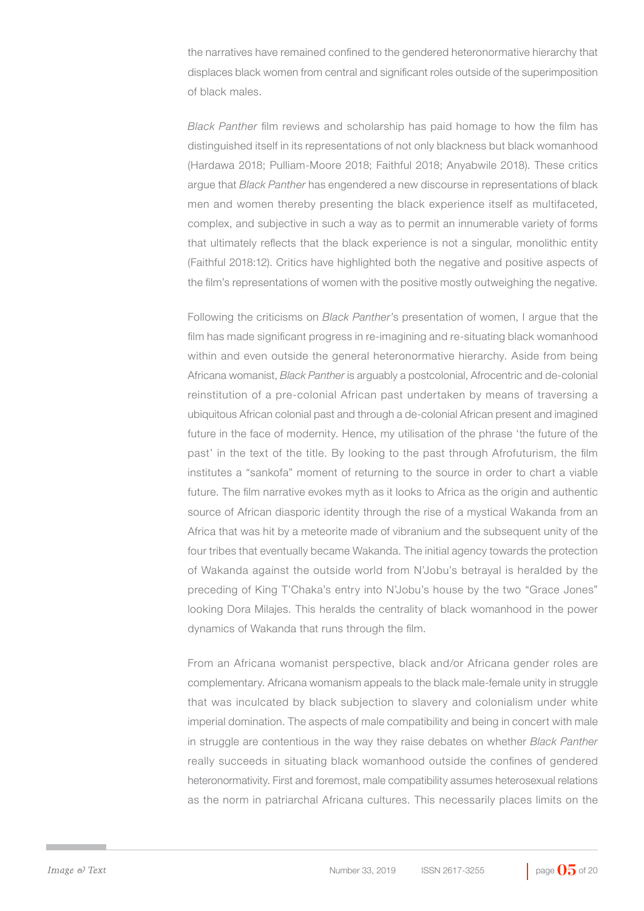the narratives have remained confined to the gendered heteronormative hierarchy that displaces black women from central and significant roles outside of the superimposition of black males.

*Black Panther* film reviews and scholarship has paid homage to how the film has distinguished itself in its representations of not only blackness but black womanhood (Hardawa 2018; Pulliam-Moore 2018; Faithful 2018; Anyabwile 2018). These critics argue that *Black Panther* has engendered a new discourse in representations of black men and women thereby presenting the black experience itself as multifaceted, complex, and subjective in such a way as to permit an innumerable variety of forms that ultimately reflects that the black experience is not a singular, monolithic entity (Faithful 2018:12). Critics have highlighted both the negative and positive aspects of the film's representations of women with the positive mostly outweighing the negative.

Following the criticisms on *Black Panther'*s presentation of women, I argue that the film has made significant progress in re-imagining and re-situating black womanhood within and even outside the general heteronormative hierarchy. Aside from being Africana womanist, *Black Panther* is arguably a postcolonial, Afrocentric and de-colonial reinstitution of a pre-colonial African past undertaken by means of traversing a ubiquitous African colonial past and through a de-colonial African present and imagined future in the face of modernity. Hence, my utilisation of the phrase 'the future of the past' in the text of the title. By looking to the past through Afrofuturism, the film institutes a "sankofa" moment of returning to the source in order to chart a viable future. The film narrative evokes myth as it looks to Africa as the origin and authentic source of African diasporic identity through the rise of a mystical Wakanda from an Africa that was hit by a meteorite made of vibranium and the subsequent unity of the four tribes that eventually became Wakanda. The initial agency towards the protection of Wakanda against the outside world from N'Jobu's betrayal is heralded by the preceding of King T'Chaka's entry into N'Jobu's house by the two "Grace Jones" looking Dora Milajes. This heralds the centrality of black womanhood in the power dynamics of Wakanda that runs through the film.

From an Africana womanist perspective, black and/or Africana gender roles are complementary. Africana womanism appeals to the black male-female unity in struggle that was inculcated by black subjection to slavery and colonialism under white imperial domination. The aspects of male compatibility and being in concert with male in struggle are contentious in the way they raise debates on whether *Black Panther*  really succeeds in situating black womanhood outside the confines of gendered heteronormativity. First and foremost, male compatibility assumes heterosexual relations as the norm in patriarchal Africana cultures. This necessarily places limits on the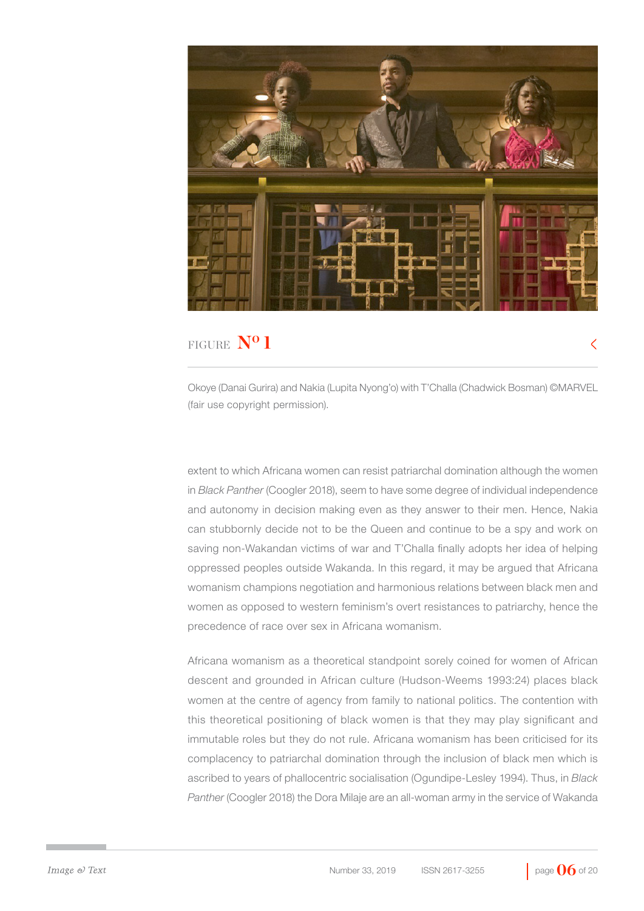

Okoye (Danai Gurira) and Nakia (Lupita Nyong'o) with T'Challa (Chadwick Bosman) ©MARVEL (fair use copyright permission).

extent to which Africana women can resist patriarchal domination although the women in *Black Panther* (Coogler 2018), seem to have some degree of individual independence and autonomy in decision making even as they answer to their men. Hence, Nakia can stubbornly decide not to be the Queen and continue to be a spy and work on saving non-Wakandan victims of war and T'Challa finally adopts her idea of helping oppressed peoples outside Wakanda. In this regard, it may be argued that Africana womanism champions negotiation and harmonious relations between black men and women as opposed to western feminism's overt resistances to patriarchy, hence the precedence of race over sex in Africana womanism.

Africana womanism as a theoretical standpoint sorely coined for women of African descent and grounded in African culture (Hudson-Weems 1993:24) places black women at the centre of agency from family to national politics. The contention with this theoretical positioning of black women is that they may play significant and immutable roles but they do not rule. Africana womanism has been criticised for its complacency to patriarchal domination through the inclusion of black men which is ascribed to years of phallocentric socialisation (Ogundipe-Lesley 1994). Thus, in *Black Panther* (Coogler 2018) the Dora Milaje are an all-woman army in the service of Wakanda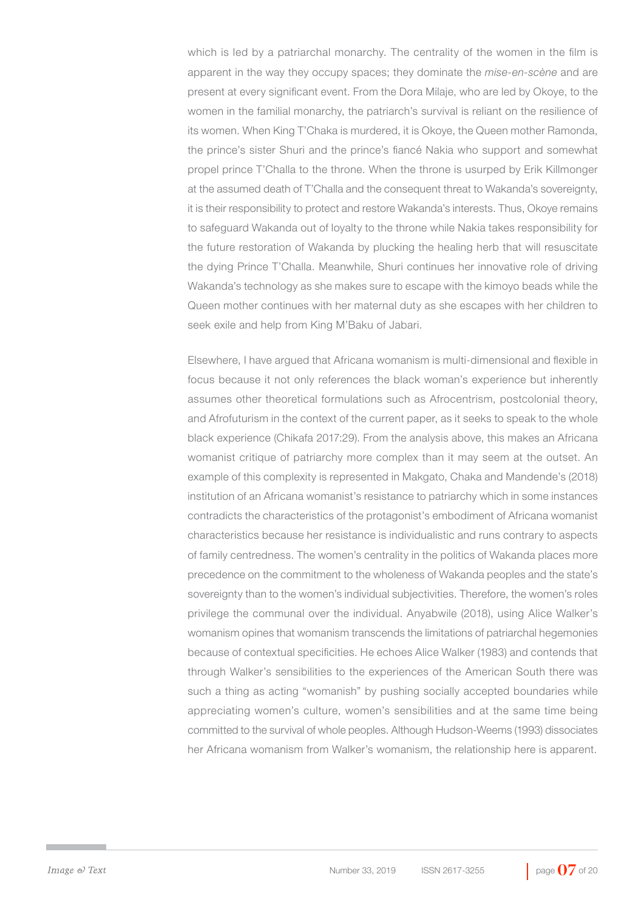which is led by a patriarchal monarchy. The centrality of the women in the film is apparent in the way they occupy spaces; they dominate the *mise-en-scène* and are present at every significant event. From the Dora Milaje, who are led by Okoye, to the women in the familial monarchy, the patriarch's survival is reliant on the resilience of its women. When King T'Chaka is murdered, it is Okoye, the Queen mother Ramonda, the prince's sister Shuri and the prince's fiancé Nakia who support and somewhat propel prince T'Challa to the throne. When the throne is usurped by Erik Killmonger at the assumed death of T'Challa and the consequent threat to Wakanda's sovereignty, it is their responsibility to protect and restore Wakanda's interests. Thus, Okoye remains to safeguard Wakanda out of loyalty to the throne while Nakia takes responsibility for the future restoration of Wakanda by plucking the healing herb that will resuscitate the dying Prince T'Challa. Meanwhile, Shuri continues her innovative role of driving Wakanda's technology as she makes sure to escape with the kimoyo beads while the Queen mother continues with her maternal duty as she escapes with her children to seek exile and help from King M'Baku of Jabari.

Elsewhere, I have argued that Africana womanism is multi-dimensional and flexible in focus because it not only references the black woman's experience but inherently assumes other theoretical formulations such as Afrocentrism, postcolonial theory, and Afrofuturism in the context of the current paper, as it seeks to speak to the whole black experience (Chikafa 2017:29). From the analysis above, this makes an Africana womanist critique of patriarchy more complex than it may seem at the outset. An example of this complexity is represented in Makgato, Chaka and Mandende's (2018) institution of an Africana womanist's resistance to patriarchy which in some instances contradicts the characteristics of the protagonist's embodiment of Africana womanist characteristics because her resistance is individualistic and runs contrary to aspects of family centredness. The women's centrality in the politics of Wakanda places more precedence on the commitment to the wholeness of Wakanda peoples and the state's sovereignty than to the women's individual subjectivities. Therefore, the women's roles privilege the communal over the individual. Anyabwile (2018), using Alice Walker's womanism opines that womanism transcends the limitations of patriarchal hegemonies because of contextual specificities. He echoes Alice Walker (1983) and contends that through Walker's sensibilities to the experiences of the American South there was such a thing as acting "womanish" by pushing socially accepted boundaries while appreciating women's culture, women's sensibilities and at the same time being committed to the survival of whole peoples. Although Hudson-Weems (1993) dissociates her Africana womanism from Walker's womanism, the relationship here is apparent.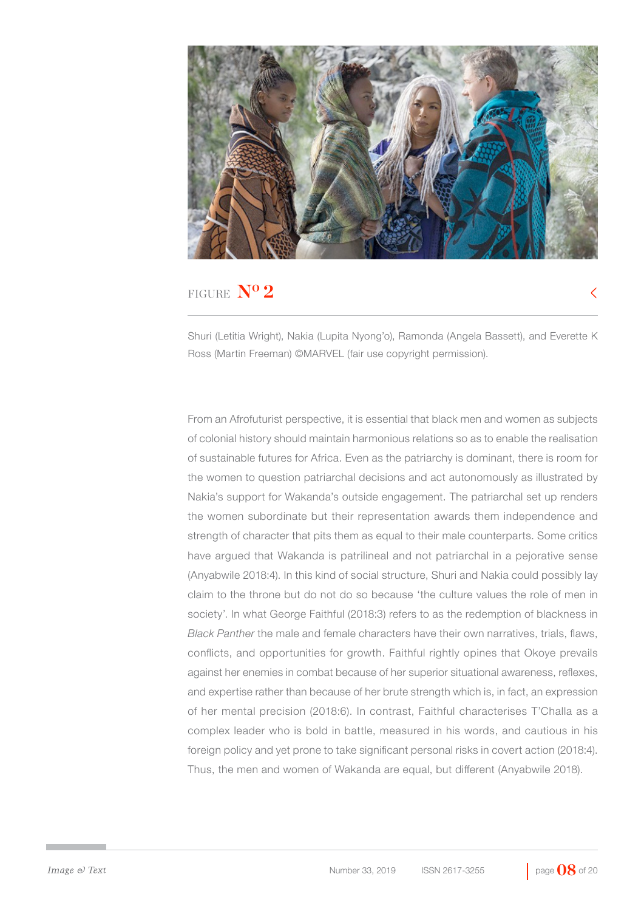

Ross (Martin Freeman) ©MARVEL (fair use copyright permission).

#### FIGURE **N**<sup>o</sup> **2**

Shuri (Letitia Wright), Nakia (Lupita Nyong'o), Ramonda (Angela Bassett), and Everette K

From an Afrofuturist perspective, it is essential that black men and women as subjects of colonial history should maintain harmonious relations so as to enable the realisation of sustainable futures for Africa. Even as the patriarchy is dominant, there is room for the women to question patriarchal decisions and act autonomously as illustrated by Nakia's support for Wakanda's outside engagement. The patriarchal set up renders the women subordinate but their representation awards them independence and strength of character that pits them as equal to their male counterparts. Some critics have argued that Wakanda is patrilineal and not patriarchal in a pejorative sense (Anyabwile 2018:4). In this kind of social structure, Shuri and Nakia could possibly lay claim to the throne but do not do so because 'the culture values the role of men in society'. In what George Faithful (2018:3) refers to as the redemption of blackness in *Black Panther* the male and female characters have their own narratives, trials, flaws, conflicts, and opportunities for growth. Faithful rightly opines that Okoye prevails against her enemies in combat because of her superior situational awareness, reflexes, and expertise rather than because of her brute strength which is, in fact, an expression of her mental precision (2018:6). In contrast, Faithful characterises T'Challa as a complex leader who is bold in battle, measured in his words, and cautious in his foreign policy and yet prone to take significant personal risks in covert action (2018:4). Thus, the men and women of Wakanda are equal, but different (Anyabwile 2018).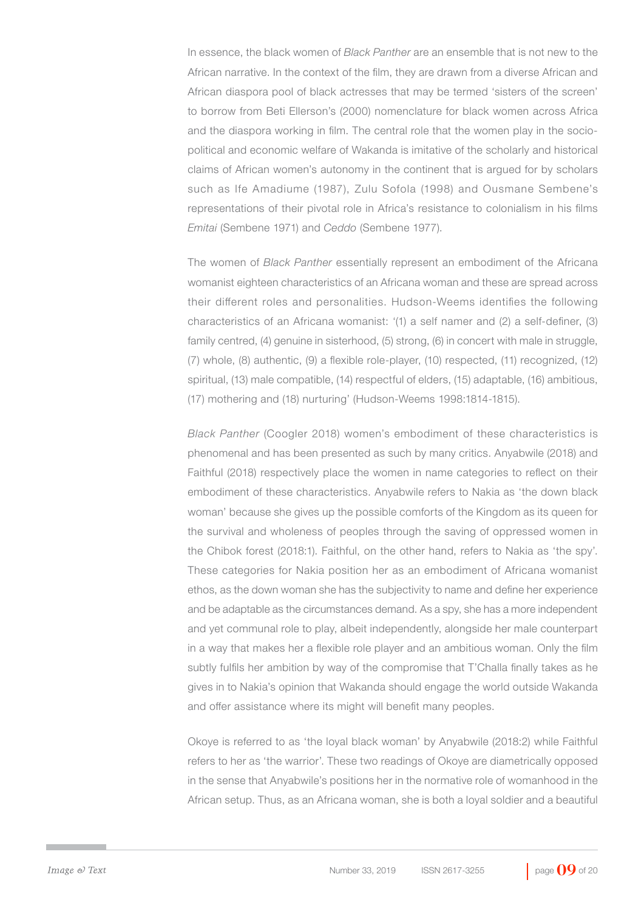In essence, the black women of *Black Panther* are an ensemble that is not new to the African narrative. In the context of the film, they are drawn from a diverse African and African diaspora pool of black actresses that may be termed 'sisters of the screen' to borrow from Beti Ellerson's (2000) nomenclature for black women across Africa and the diaspora working in film. The central role that the women play in the sociopolitical and economic welfare of Wakanda is imitative of the scholarly and historical claims of African women's autonomy in the continent that is argued for by scholars such as Ife Amadiume (1987), Zulu Sofola (1998) and Ousmane Sembene's representations of their pivotal role in Africa's resistance to colonialism in his films *Emitai* (Sembene 1971) and *Ceddo* (Sembene 1977).

The women of *Black Panther* essentially represent an embodiment of the Africana womanist eighteen characteristics of an Africana woman and these are spread across their different roles and personalities. Hudson-Weems identifies the following characteristics of an Africana womanist: '(1) a self namer and (2) a self-definer, (3) family centred, (4) genuine in sisterhood, (5) strong, (6) in concert with male in struggle, (7) whole, (8) authentic, (9) a flexible role-player, (10) respected, (11) recognized, (12) spiritual, (13) male compatible, (14) respectful of elders, (15) adaptable, (16) ambitious, (17) mothering and (18) nurturing' (Hudson-Weems 1998:1814-1815).

*Black Panther* (Coogler 2018) women's embodiment of these characteristics is phenomenal and has been presented as such by many critics. Anyabwile (2018) and Faithful (2018) respectively place the women in name categories to reflect on their embodiment of these characteristics. Anyabwile refers to Nakia as 'the down black woman' because she gives up the possible comforts of the Kingdom as its queen for the survival and wholeness of peoples through the saving of oppressed women in the Chibok forest (2018:1). Faithful, on the other hand, refers to Nakia as 'the spy'. These categories for Nakia position her as an embodiment of Africana womanist ethos, as the down woman she has the subjectivity to name and define her experience and be adaptable as the circumstances demand. As a spy, she has a more independent and yet communal role to play, albeit independently, alongside her male counterpart in a way that makes her a flexible role player and an ambitious woman. Only the film subtly fulfils her ambition by way of the compromise that T'Challa finally takes as he gives in to Nakia's opinion that Wakanda should engage the world outside Wakanda and offer assistance where its might will benefit many peoples.

Okoye is referred to as 'the loyal black woman' by Anyabwile (2018:2) while Faithful refers to her as 'the warrior'. These two readings of Okoye are diametrically opposed in the sense that Anyabwile's positions her in the normative role of womanhood in the African setup. Thus, as an Africana woman, she is both a loyal soldier and a beautiful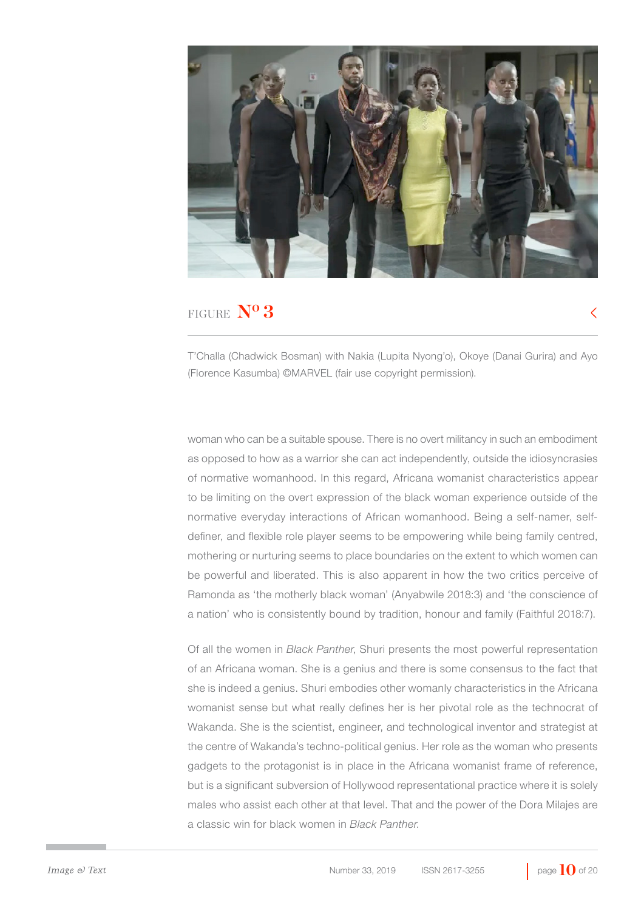

T'Challa (Chadwick Bosman) with Nakia (Lupita Nyong'o), Okoye (Danai Gurira) and Ayo (Florence Kasumba) ©MARVEL (fair use copyright permission).

woman who can be a suitable spouse. There is no overt militancy in such an embodiment as opposed to how as a warrior she can act independently, outside the idiosyncrasies of normative womanhood. In this regard, Africana womanist characteristics appear to be limiting on the overt expression of the black woman experience outside of the normative everyday interactions of African womanhood. Being a self-namer, selfdefiner, and flexible role player seems to be empowering while being family centred, mothering or nurturing seems to place boundaries on the extent to which women can be powerful and liberated. This is also apparent in how the two critics perceive of Ramonda as 'the motherly black woman' (Anyabwile 2018:3) and 'the conscience of a nation' who is consistently bound by tradition, honour and family (Faithful 2018:7).

Of all the women in *Black Panther*, Shuri presents the most powerful representation of an Africana woman. She is a genius and there is some consensus to the fact that she is indeed a genius. Shuri embodies other womanly characteristics in the Africana womanist sense but what really defines her is her pivotal role as the technocrat of Wakanda. She is the scientist, engineer, and technological inventor and strategist at the centre of Wakanda's techno-political genius. Her role as the woman who presents gadgets to the protagonist is in place in the Africana womanist frame of reference, but is a significant subversion of Hollywood representational practice where it is solely males who assist each other at that level. That and the power of the Dora Milajes are a classic win for black women in *Black Panther*.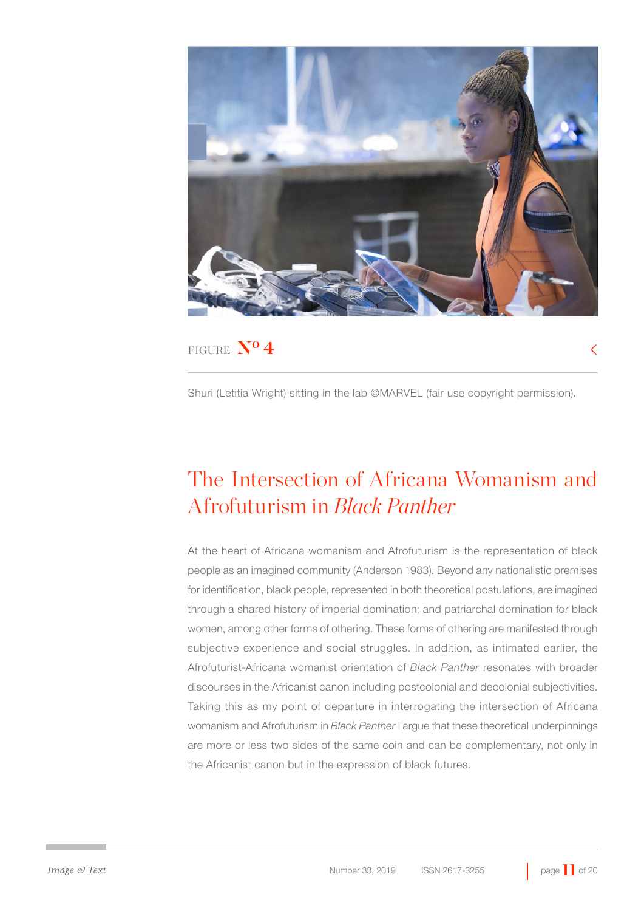

Shuri (Letitia Wright) sitting in the lab ©MARVEL (fair use copyright permission).

## The Intersection of Africana Womanism and Afrofuturism in *Black Panther*

At the heart of Africana womanism and Afrofuturism is the representation of black people as an imagined community (Anderson 1983). Beyond any nationalistic premises for identification, black people, represented in both theoretical postulations, are imagined through a shared history of imperial domination; and patriarchal domination for black women, among other forms of othering. These forms of othering are manifested through subjective experience and social struggles. In addition, as intimated earlier, the Afrofuturist-Africana womanist orientation of *Black Panther* resonates with broader discourses in the Africanist canon including postcolonial and decolonial subjectivities. Taking this as my point of departure in interrogating the intersection of Africana womanism and Afrofuturism in *Black Panther* I argue that these theoretical underpinnings are more or less two sides of the same coin and can be complementary, not only in the Africanist canon but in the expression of black futures.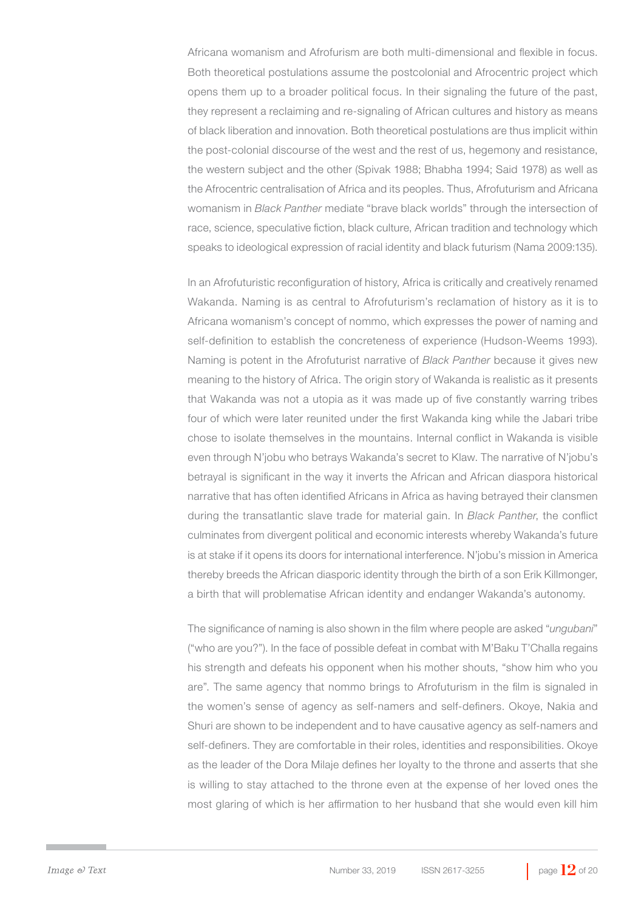Africana womanism and Afrofurism are both multi-dimensional and flexible in focus. Both theoretical postulations assume the postcolonial and Afrocentric project which opens them up to a broader political focus. In their signaling the future of the past, they represent a reclaiming and re-signaling of African cultures and history as means of black liberation and innovation. Both theoretical postulations are thus implicit within the post-colonial discourse of the west and the rest of us, hegemony and resistance, the western subject and the other (Spivak 1988; Bhabha 1994; Said 1978) as well as the Afrocentric centralisation of Africa and its peoples. Thus, Afrofuturism and Africana womanism in *Black Panther* mediate "brave black worlds" through the intersection of race, science, speculative fiction, black culture, African tradition and technology which speaks to ideological expression of racial identity and black futurism (Nama 2009:135).

In an Afrofuturistic reconfiguration of history, Africa is critically and creatively renamed Wakanda. Naming is as central to Afrofuturism's reclamation of history as it is to Africana womanism's concept of nommo, which expresses the power of naming and self-definition to establish the concreteness of experience (Hudson-Weems 1993). Naming is potent in the Afrofuturist narrative of *Black Panther* because it gives new meaning to the history of Africa. The origin story of Wakanda is realistic as it presents that Wakanda was not a utopia as it was made up of five constantly warring tribes four of which were later reunited under the first Wakanda king while the Jabari tribe chose to isolate themselves in the mountains. Internal conflict in Wakanda is visible even through N'jobu who betrays Wakanda's secret to Klaw. The narrative of N'jobu's betrayal is significant in the way it inverts the African and African diaspora historical narrative that has often identified Africans in Africa as having betrayed their clansmen during the transatlantic slave trade for material gain. In *Black Panther*, the conflict culminates from divergent political and economic interests whereby Wakanda's future is at stake if it opens its doors for international interference. N'jobu's mission in America thereby breeds the African diasporic identity through the birth of a son Erik Killmonger, a birth that will problematise African identity and endanger Wakanda's autonomy.

The significance of naming is also shown in the film where people are asked "*ungubani*" ("who are you?"). In the face of possible defeat in combat with M'Baku T'Challa regains his strength and defeats his opponent when his mother shouts, "show him who you are". The same agency that nommo brings to Afrofuturism in the film is signaled in the women's sense of agency as self-namers and self-definers. Okoye, Nakia and Shuri are shown to be independent and to have causative agency as self-namers and self-definers. They are comfortable in their roles, identities and responsibilities. Okoye as the leader of the Dora Milaje defines her loyalty to the throne and asserts that she is willing to stay attached to the throne even at the expense of her loved ones the most glaring of which is her affirmation to her husband that she would even kill him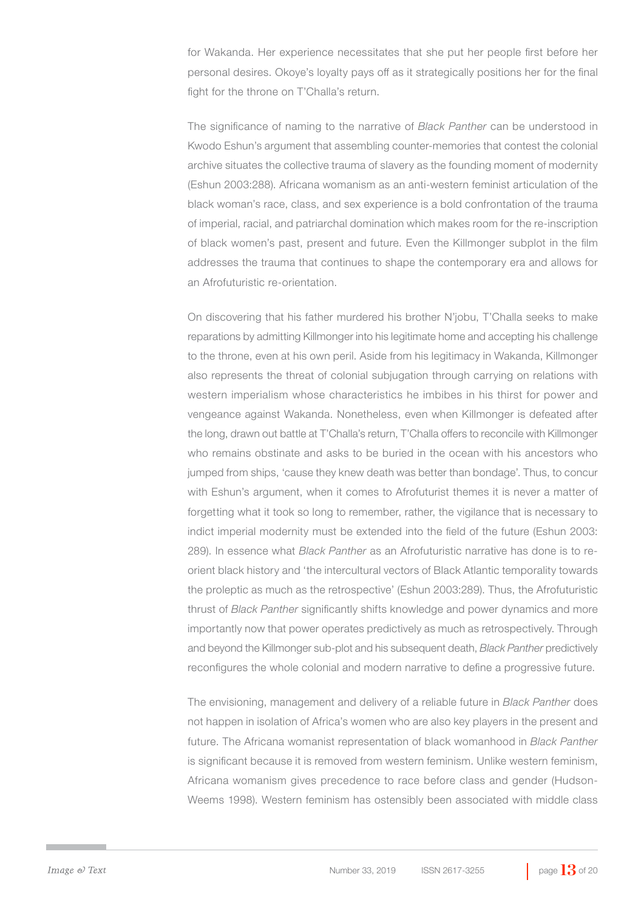for Wakanda. Her experience necessitates that she put her people first before her personal desires. Okoye's loyalty pays off as it strategically positions her for the final fight for the throne on T'Challa's return.

The significance of naming to the narrative of *Black Panther* can be understood in Kwodo Eshun's argument that assembling counter-memories that contest the colonial archive situates the collective trauma of slavery as the founding moment of modernity (Eshun 2003:288). Africana womanism as an anti-western feminist articulation of the black woman's race, class, and sex experience is a bold confrontation of the trauma of imperial, racial, and patriarchal domination which makes room for the re-inscription of black women's past, present and future. Even the Killmonger subplot in the film addresses the trauma that continues to shape the contemporary era and allows for an Afrofuturistic re-orientation.

On discovering that his father murdered his brother N'jobu, T'Challa seeks to make reparations by admitting Killmonger into his legitimate home and accepting his challenge to the throne, even at his own peril. Aside from his legitimacy in Wakanda, Killmonger also represents the threat of colonial subjugation through carrying on relations with western imperialism whose characteristics he imbibes in his thirst for power and vengeance against Wakanda. Nonetheless, even when Killmonger is defeated after the long, drawn out battle at T'Challa's return, T'Challa offers to reconcile with Killmonger who remains obstinate and asks to be buried in the ocean with his ancestors who jumped from ships, 'cause they knew death was better than bondage'. Thus, to concur with Eshun's argument, when it comes to Afrofuturist themes it is never a matter of forgetting what it took so long to remember, rather, the vigilance that is necessary to indict imperial modernity must be extended into the field of the future (Eshun 2003: 289). In essence what *Black Panther* as an Afrofuturistic narrative has done is to reorient black history and 'the intercultural vectors of Black Atlantic temporality towards the proleptic as much as the retrospective' (Eshun 2003:289). Thus, the Afrofuturistic thrust of *Black Panther* significantly shifts knowledge and power dynamics and more importantly now that power operates predictively as much as retrospectively. Through and beyond the Killmonger sub-plot and his subsequent death, *Black Panther* predictively reconfigures the whole colonial and modern narrative to define a progressive future.

The envisioning, management and delivery of a reliable future in *Black Panther* does not happen in isolation of Africa's women who are also key players in the present and future. The Africana womanist representation of black womanhood in *Black Panther* is significant because it is removed from western feminism. Unlike western feminism, Africana womanism gives precedence to race before class and gender (Hudson-Weems 1998). Western feminism has ostensibly been associated with middle class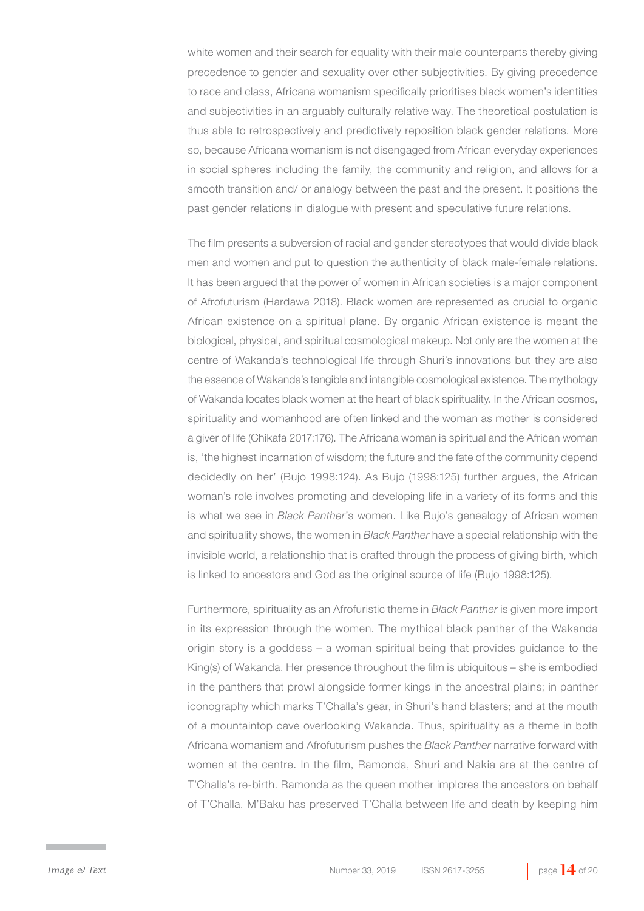white women and their search for equality with their male counterparts thereby giving precedence to gender and sexuality over other subjectivities. By giving precedence to race and class, Africana womanism specifically prioritises black women's identities and subjectivities in an arguably culturally relative way. The theoretical postulation is thus able to retrospectively and predictively reposition black gender relations. More so, because Africana womanism is not disengaged from African everyday experiences in social spheres including the family, the community and religion, and allows for a smooth transition and/ or analogy between the past and the present. It positions the past gender relations in dialogue with present and speculative future relations.

The film presents a subversion of racial and gender stereotypes that would divide black men and women and put to question the authenticity of black male-female relations. It has been argued that the power of women in African societies is a major component of Afrofuturism (Hardawa 2018). Black women are represented as crucial to organic African existence on a spiritual plane. By organic African existence is meant the biological, physical, and spiritual cosmological makeup. Not only are the women at the centre of Wakanda's technological life through Shuri's innovations but they are also the essence of Wakanda's tangible and intangible cosmological existence. The mythology of Wakanda locates black women at the heart of black spirituality. In the African cosmos, spirituality and womanhood are often linked and the woman as mother is considered a giver of life (Chikafa 2017:176). The Africana woman is spiritual and the African woman is, 'the highest incarnation of wisdom; the future and the fate of the community depend decidedly on her' (Bujo 1998:124). As Bujo (1998:125) further argues, the African woman's role involves promoting and developing life in a variety of its forms and this is what we see in *Black Panther*'s women. Like Bujo's genealogy of African women and spirituality shows, the women in *Black Panther* have a special relationship with the invisible world, a relationship that is crafted through the process of giving birth, which is linked to ancestors and God as the original source of life (Bujo 1998:125).

Furthermore, spirituality as an Afrofuristic theme in *Black Panther* is given more import in its expression through the women. The mythical black panther of the Wakanda origin story is a goddess – a woman spiritual being that provides guidance to the King(s) of Wakanda. Her presence throughout the film is ubiquitous - she is embodied in the panthers that prowl alongside former kings in the ancestral plains; in panther iconography which marks T'Challa's gear, in Shuri's hand blasters; and at the mouth of a mountaintop cave overlooking Wakanda. Thus, spirituality as a theme in both Africana womanism and Afrofuturism pushes the *Black Panther* narrative forward with women at the centre. In the film, Ramonda, Shuri and Nakia are at the centre of T'Challa's re-birth. Ramonda as the queen mother implores the ancestors on behalf of T'Challa. M'Baku has preserved T'Challa between life and death by keeping him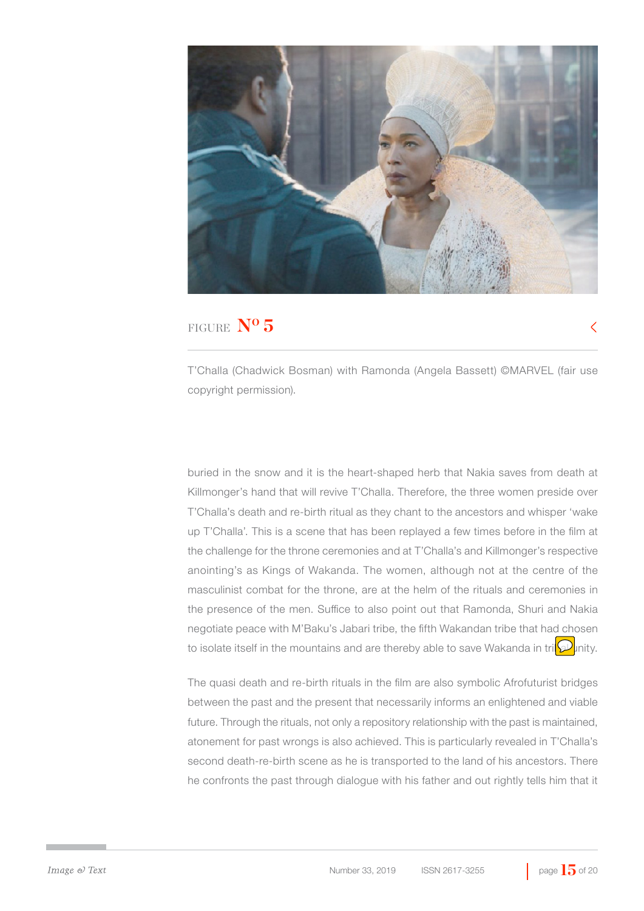

T'Challa (Chadwick Bosman) with Ramonda (Angela Bassett) ©MARVEL (fair use copyright permission).

buried in the snow and it is the heart-shaped herb that Nakia saves from death at Killmonger's hand that will revive T'Challa. Therefore, the three women preside over T'Challa's death and re-birth ritual as they chant to the ancestors and whisper 'wake up T'Challa'. This is a scene that has been replayed a few times before in the film at the challenge for the throne ceremonies and at T'Challa's and Killmonger's respective anointing's as Kings of Wakanda. The women, although not at the centre of the masculinist combat for the throne, are at the helm of the rituals and ceremonies in the presence of the men. Suffice to also point out that Ramonda, Shuri and Nakia negotiate peace with M'Baku's Jabari tribe, the fifth Wakandan tribe that had chosen to isolate itself in the mountains and are thereby able to save Wakanda in tri $\mathcal{D}$  inity.

The quasi death and re-birth rituals in the film are also symbolic Afrofuturist bridges between the past and the present that necessarily informs an enlightened and viable future. Through the rituals, not only a repository relationship with the past is maintained, atonement for past wrongs is also achieved. This is particularly revealed in T'Challa's second death-re-birth scene as he is transported to the land of his ancestors. There he confronts the past through dialogue with his father and out rightly tells him that it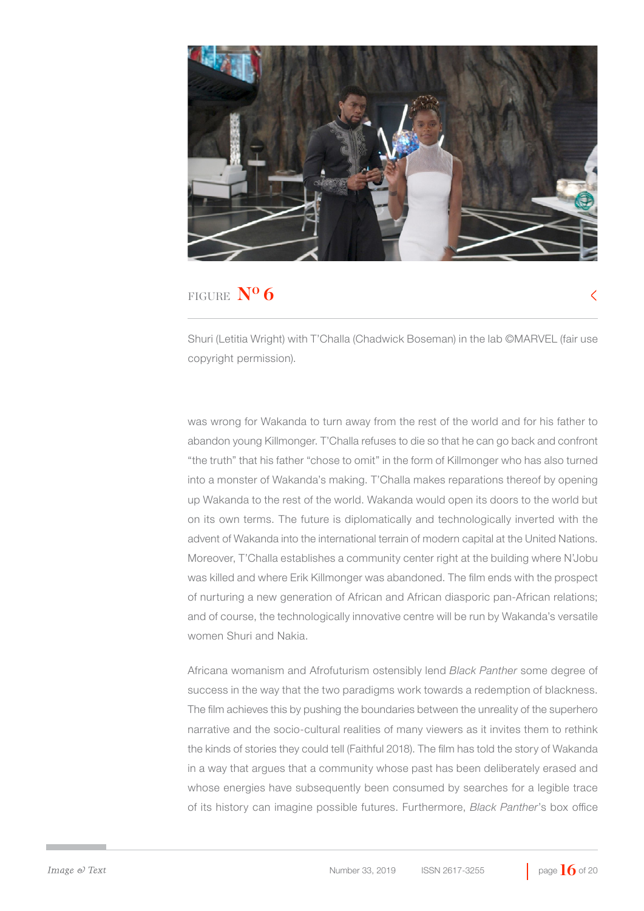

Shuri (Letitia Wright) with T'Challa (Chadwick Boseman) in the lab ©MARVEL (fair use copyright permission).

was wrong for Wakanda to turn away from the rest of the world and for his father to abandon young Killmonger. T'Challa refuses to die so that he can go back and confront "the truth" that his father "chose to omit" in the form of Killmonger who has also turned into a monster of Wakanda's making. T'Challa makes reparations thereof by opening up Wakanda to the rest of the world. Wakanda would open its doors to the world but on its own terms. The future is diplomatically and technologically inverted with the advent of Wakanda into the international terrain of modern capital at the United Nations. Moreover, T'Challa establishes a community center right at the building where N'Jobu was killed and where Erik Killmonger was abandoned. The film ends with the prospect of nurturing a new generation of African and African diasporic pan-African relations; and of course, the technologically innovative centre will be run by Wakanda's versatile women Shuri and Nakia.

Africana womanism and Afrofuturism ostensibly lend *Black Panther* some degree of success in the way that the two paradigms work towards a redemption of blackness. The film achieves this by pushing the boundaries between the unreality of the superhero narrative and the socio-cultural realities of many viewers as it invites them to rethink the kinds of stories they could tell (Faithful 2018). The film has told the story of Wakanda in a way that argues that a community whose past has been deliberately erased and whose energies have subsequently been consumed by searches for a legible trace of its history can imagine possible futures. Furthermore, *Black Panther*'s box office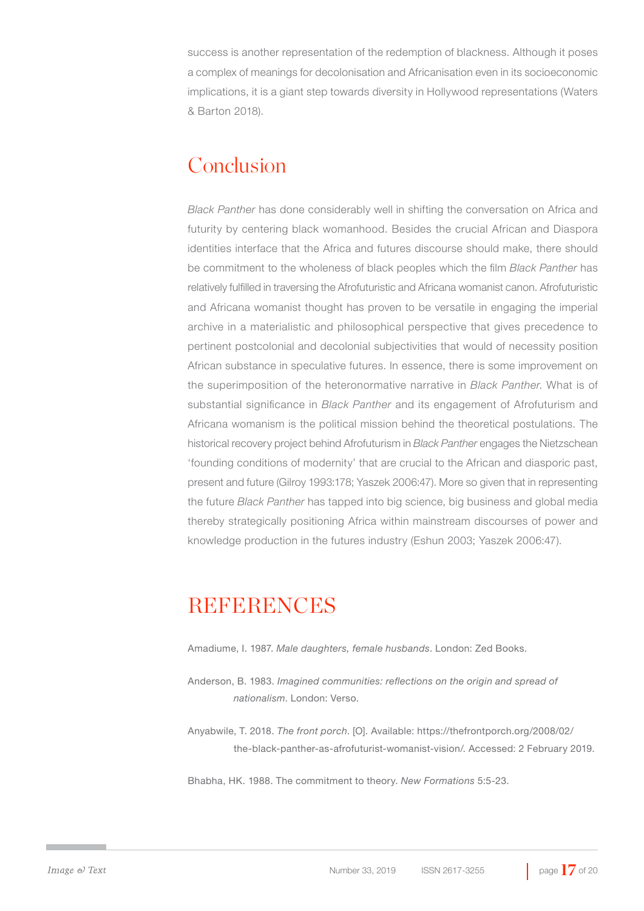success is another representation of the redemption of blackness. Although it poses a complex of meanings for decolonisation and Africanisation even in its socioeconomic implications, it is a giant step towards diversity in Hollywood representations (Waters & Barton 2018).

## Conclusion

*Black Panther* has done considerably well in shifting the conversation on Africa and futurity by centering black womanhood. Besides the crucial African and Diaspora identities interface that the Africa and futures discourse should make, there should be commitment to the wholeness of black peoples which the film *Black Panther* has relatively fulfilled in traversing the Afrofuturistic and Africana womanist canon. Afrofuturistic and Africana womanist thought has proven to be versatile in engaging the imperial archive in a materialistic and philosophical perspective that gives precedence to pertinent postcolonial and decolonial subjectivities that would of necessity position African substance in speculative futures. In essence, there is some improvement on the superimposition of the heteronormative narrative in *Black Panther*. What is of substantial significance in *Black Panther* and its engagement of Afrofuturism and Africana womanism is the political mission behind the theoretical postulations. The historical recovery project behind Afrofuturism in *Black Panther* engages the Nietzschean 'founding conditions of modernity' that are crucial to the African and diasporic past, present and future (Gilroy 1993:178; Yaszek 2006:47). More so given that in representing the future *Black Panther* has tapped into big science, big business and global media thereby strategically positioning Africa within mainstream discourses of power and knowledge production in the futures industry (Eshun 2003; Yaszek 2006:47).

### **REFERENCES**

Amadiume, I. 1987. *Male daughters, female husbands*. London: Zed Books.

Anderson, B. 1983. *Imagined communities: reflections on the origin and spread of nationalism*. London: Verso.

Anyabwile, T. 2018. *The front porch*. [O]. Available: https://thefrontporch.org/2008/02/ the-black-panther-as-afrofuturist-womanist-vision/. Accessed: 2 February 2019.

Bhabha, HK. 1988. The commitment to theory. *New Formations* 5:5-23.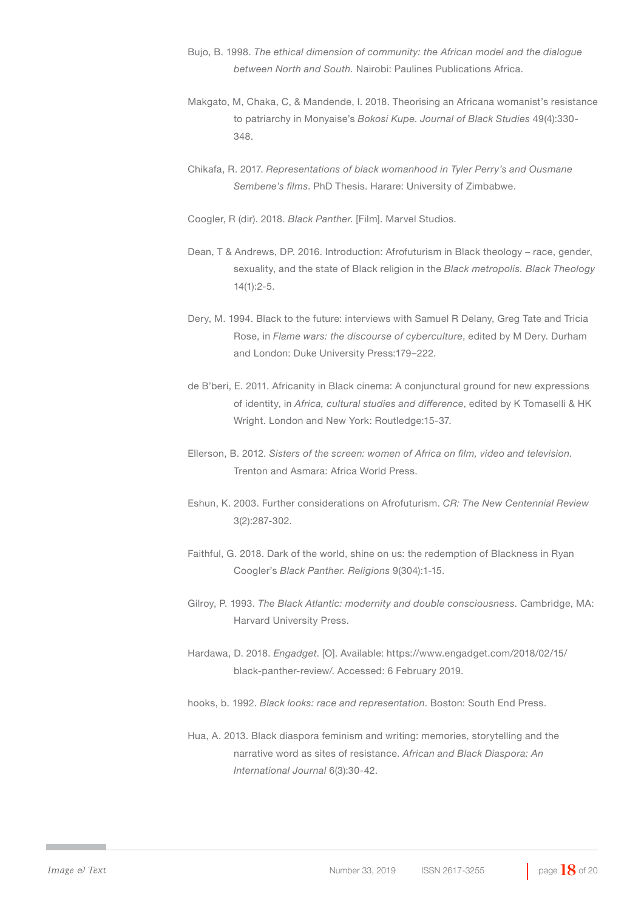- Bujo, B. 1998. *The ethical dimension of community: the African model and the dialogue between North and South.* Nairobi: Paulines Publications Africa.
- Makgato, M, Chaka, C, & Mandende, I. 2018. Theorising an Africana womanist's resistance to patriarchy in Monyaise's *Bokosi Kupe*. *Journal of Black Studies* 49(4):330- 348.
- Chikafa, R. 2017. *Representations of black womanhood in Tyler Perry's and Ousmane Sembene's films*. PhD Thesis. Harare: University of Zimbabwe.
- Coogler, R (dir). 2018. *Black Panther*. [Film]. Marvel Studios.
- Dean, T & Andrews, DP. 2016. Introduction: Afrofuturism in Black theology race, gender, sexuality, and the state of Black religion in the *Black metropolis. Black Theology*  14(1):2-5.
- Dery, M. 1994. Black to the future: interviews with Samuel R Delany, Greg Tate and Tricia Rose, in *Flame wars: the discourse of cyberculture*, edited by M Dery. Durham and London: Duke University Press:179–222.
- de B'beri, E. 2011. Africanity in Black cinema: A conjunctural ground for new expressions of identity, in *Africa, cultural studies and difference*, edited by K Tomaselli & HK Wright. London and New York: Routledge:15-37.
- Ellerson, B. 2012. *Sisters of the screen: women of Africa on film, video and television.*  Trenton and Asmara: Africa World Press.
- Eshun, K. 2003. Further considerations on Afrofuturism. *CR: The New Centennial Review*  3(2):287-302.
- Faithful, G. 2018. Dark of the world, shine on us: the redemption of Blackness in Ryan Coogler's *Black Panther. Religions* 9(304):1-15.
- Gilroy, P. 1993. *The Black Atlantic: modernity and double consciousness*. Cambridge, MA: Harvard University Press.
- Hardawa, D. 2018. *Engadget*. [O]. Available: https://www.engadget.com/2018/02/15/ black-panther-review/. Accessed: 6 February 2019.
- hooks, b. 1992. *Black looks: race and representation*. Boston: South End Press.
- Hua, A. 2013. Black diaspora feminism and writing: memories, storytelling and the narrative word as sites of resistance. *African and Black Diaspora: An International Journal* 6(3):30-42.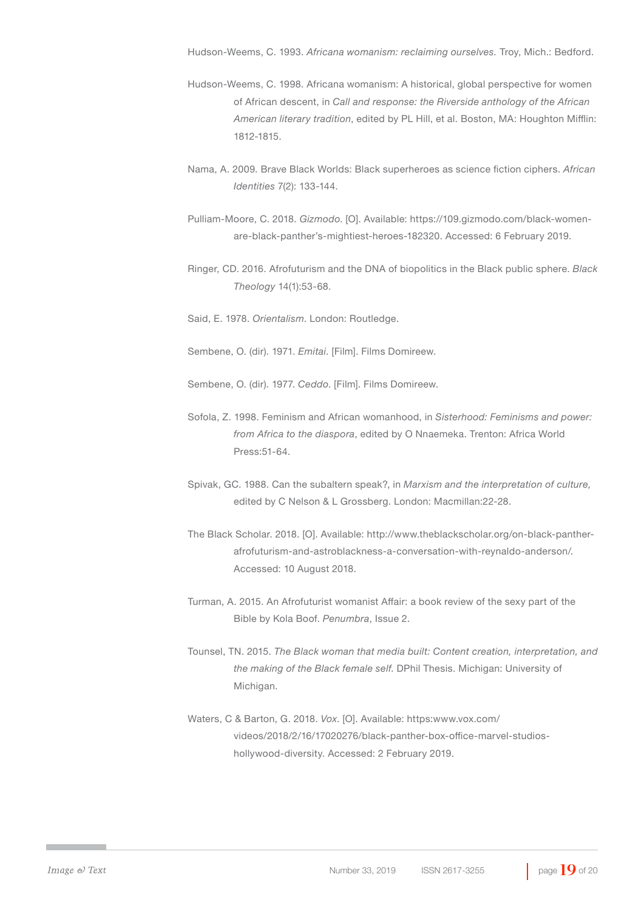Hudson-Weems, C. 1993. *Africana womanism: reclaiming ourselves.* Troy, Mich.: Bedford.

- Hudson-Weems, C. 1998. Africana womanism: A historical, global perspective for women of African descent, in *Call and response: the Riverside anthology of the African American literary tradition*, edited by PL Hill, et al. Boston, MA: Houghton Mifflin: 1812-1815.
- Nama, A. 2009. Brave Black Worlds: Black superheroes as science fiction ciphers. *African Identities* 7(2): 133-144.
- Pulliam-Moore, C. 2018. *Gizmodo*. [O]. Available: https://109.gizmodo.com/black-womenare-black-panther's-mightiest-heroes-182320. Accessed: 6 February 2019.
- Ringer, CD. 2016. Afrofuturism and the DNA of biopolitics in the Black public sphere. *Black Theology* 14(1):53-68.

Said, E. 1978. *Orientalism*. London: Routledge.

Sembene, O. (dir). 1971. *Emitai*. [Film]. Films Domireew.

Sembene, O. (dir). 1977. *Ceddo*. [Film]. Films Domireew.

- Sofola, Z. 1998. Feminism and African womanhood, in *Sisterhood: Feminisms and power: from Africa to the diaspora*, edited by O Nnaemeka. Trenton: Africa World Press:51-64.
- Spivak, GC. 1988. Can the subaltern speak?, in *Marxism and the interpretation of culture,*  edited by C Nelson & L Grossberg. London: Macmillan:22-28.
- The Black Scholar. 2018. [O]. Available: http://www.theblackscholar.org/on-black-pantherafrofuturism-and-astroblackness-a-conversation-with-reynaldo-anderson/. Accessed: 10 August 2018.
- Turman, A. 2015. An Afrofuturist womanist Affair: a book review of the sexy part of the Bible by Kola Boof. *Penumbra*, Issue 2.
- Tounsel, TN. 2015. *The Black woman that media built: Content creation, interpretation, and the making of the Black female self*. DPhil Thesis. Michigan: University of Michigan.
- Waters, C & Barton, G. 2018. *Vox*. [O]. Available: https:www.vox.com/ videos/2018/2/16/17020276/black-panther-box-office-marvel-studioshollywood-diversity. Accessed: 2 February 2019.